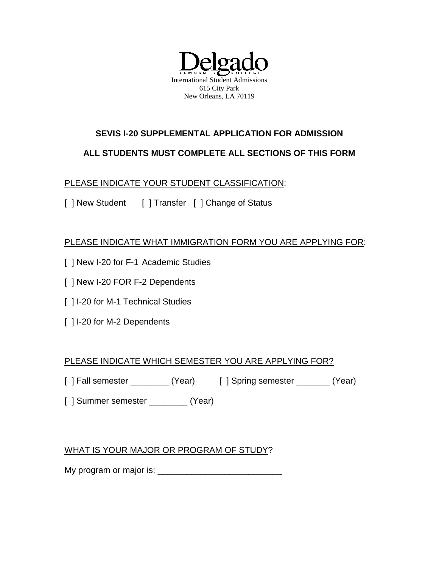

### **SEVIS I-20 SUPPLEMENTAL APPLICATION FOR ADMISSION**

## **ALL STUDENTS MUST COMPLETE ALL SECTIONS OF THIS FORM**

## PLEASE INDICATE YOUR STUDENT CLASSIFICATION:

[ ] New Student [ ] Transfer [ ] Change of Status

### PLEASE INDICATE WHAT IMMIGRATION FORM YOU ARE APPLYING FOR:

- [ ] New I-20 for F-1 Academic Studies
- [ ] New I-20 FOR F-2 Dependents
- [ ] I-20 for M-1 Technical Studies
- [] I-20 for M-2 Dependents

### PLEASE INDICATE WHICH SEMESTER YOU ARE APPLYING FOR?

- [ ] Fall semester \_\_\_\_\_\_\_\_ (Year) [ ] Spring semester \_\_\_\_\_\_ (Year)
- [] Summer semester \_\_\_\_\_\_\_\_\_ (Year)

### WHAT IS YOUR MAJOR OR PROGRAM OF STUDY?

My program or major is: \_\_\_\_\_\_\_\_\_\_\_\_\_\_\_\_\_\_\_\_\_\_\_\_\_\_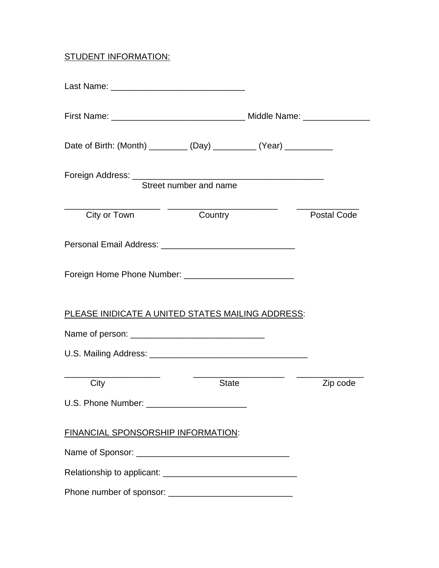# STUDENT INFORMATION:

| Date of Birth: (Month) _________ (Day) _________ (Year) ___________ |                        |                    |
|---------------------------------------------------------------------|------------------------|--------------------|
|                                                                     | Street number and name |                    |
| City or Town                                                        | Country                | <b>Postal Code</b> |
|                                                                     |                        |                    |
|                                                                     |                        |                    |
| PLEASE INIDICATE A UNITED STATES MAILING ADDRESS:                   |                        |                    |
|                                                                     |                        |                    |
|                                                                     |                        |                    |
| City                                                                | <b>State</b>           | Zip code           |
|                                                                     |                        |                    |
| <b>FINANCIAL SPONSORSHIP INFORMATION:</b>                           |                        |                    |
|                                                                     |                        |                    |
|                                                                     |                        |                    |
|                                                                     |                        |                    |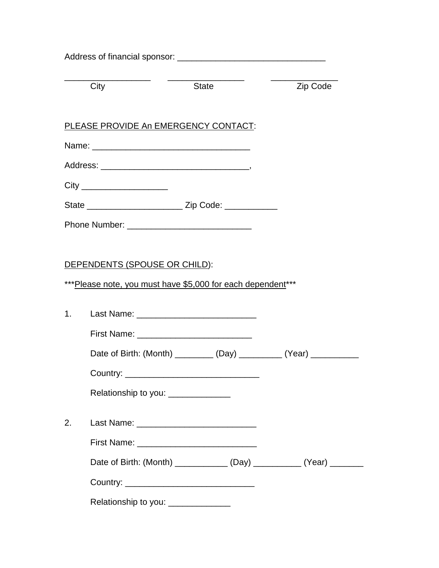|    | City                                       | <b>State</b>                                                           | Zip Code |
|----|--------------------------------------------|------------------------------------------------------------------------|----------|
|    |                                            |                                                                        |          |
|    | PLEASE PROVIDE An EMERGENCY CONTACT:       |                                                                        |          |
|    |                                            |                                                                        |          |
|    |                                            |                                                                        |          |
|    |                                            |                                                                        |          |
|    |                                            |                                                                        |          |
|    |                                            |                                                                        |          |
|    |                                            |                                                                        |          |
|    | DEPENDENTS (SPOUSE OR CHILD):              |                                                                        |          |
|    |                                            | *** Please note, you must have \$5,000 for each dependent***           |          |
|    |                                            |                                                                        |          |
|    |                                            |                                                                        |          |
|    |                                            |                                                                        |          |
|    |                                            | Date of Birth: (Month) _________ (Day) _________ (Year) __________     |          |
|    |                                            |                                                                        |          |
|    | Relationship to you: _____________         |                                                                        |          |
|    |                                            |                                                                        |          |
| 2. |                                            |                                                                        |          |
|    | First Name: ______________________________ |                                                                        |          |
|    |                                            | Date of Birth: (Month) _____________ (Day) ___________ (Year) ________ |          |
|    |                                            |                                                                        |          |
|    |                                            | Relationship to you: _______________                                   |          |